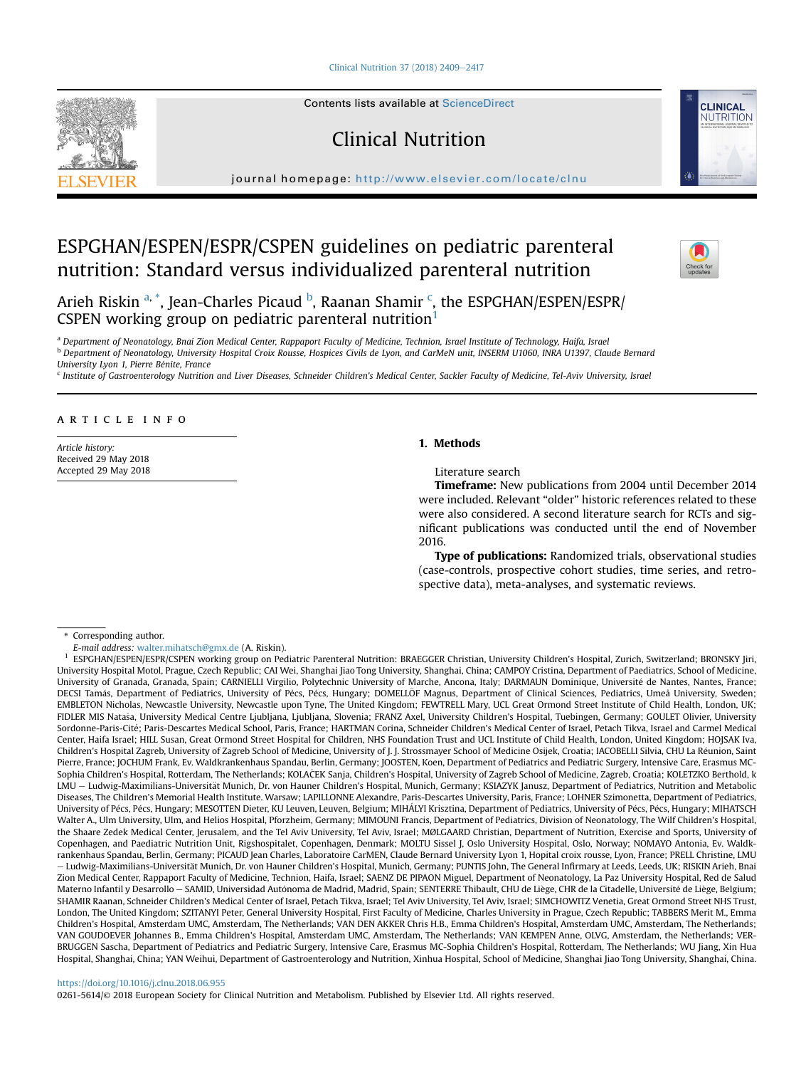## [Clinical Nutrition 37 \(2018\) 2409](https://doi.org/10.1016/j.clnu.2018.06.955)-[2417](https://doi.org/10.1016/j.clnu.2018.06.955)



Contents lists available at ScienceDirect

## Clinical Nutrition

journal homepage: <http://www.elsevier.com/locate/clnu>

# ESPGHAN/ESPEN/ESPR/CSPEN guidelines on pediatric parenteral nutrition: Standard versus individualized parenteral nutrition



**CLINICAL** NUTRITION

Arieh Riskin <sup>a, \*</sup>, Jean-Charles Picaud <sup>b</sup>, Raanan Shamir <sup>c</sup>, the ESPGHAN/ESPEN/ESPR/ CSPEN working group on pediatric parenteral nutrition $<sup>1</sup>$ </sup>

<sup>a</sup> Department of Neonatology, Bnai Zion Medical Center, Rappaport Faculty of Medicine, Technion, Israel Institute of Technology, Haifa, Israel <sup>b</sup> Department of Neonatology, University Hospital Croix Rousse, Hospices Civils de Lyon, and CarMeN unit, INSERM U1060, INRA U1397, Claude Bernard University Lyon 1, Pierre Bénite, France

<sup>c</sup> Institute of Gastroenterology Nutrition and Liver Diseases, Schneider Children's Medical Center, Sackler Faculty of Medicine, Tel-Aviv University, Israel

## article info

Article history: Received 29 May 2018 Accepted 29 May 2018

#### 1. Methods

Literature search

Timeframe: New publications from 2004 until December 2014 were included. Relevant "older" historic references related to these were also considered. A second literature search for RCTs and significant publications was conducted until the end of November 2016.

Type of publications: Randomized trials, observational studies (case-controls, prospective cohort studies, time series, and retrospective data), meta-analyses, and systematic reviews.

\* Corresponding author.

E-mail address: [walter.mihatsch@gmx.de](mailto:walter.mihatsch@gmx.de) (A. Riskin).

<sup>1</sup> ESPGHAN/ESPEN/ESPR/CSPEN working group on Pediatric Parenteral Nutrition: BRAEGGER Christian, University Children's Hospital, Zurich, Switzerland; BRONSKY Jiri, University Hospital Motol, Prague, Czech Republic; CAI Wei, Shanghai Jiao Tong University, Shanghai, China; CAMPOY Cristina, Department of Paediatrics, School of Medicine, University of Granada, Granada, Spain; CARNIELLI Virgilio, Polytechnic University of Marche, Ancona, Italy; DARMAUN Dominique, Universite de Nantes, Nantes, France; DECSI Tamás, Department of Pediatrics, University of Pécs, Pécs, Hungary; DOMELLÖF Magnus, Department of Clinical Sciences, Pediatrics, Umeå University, Sweden; EMBLETON Nicholas, Newcastle University, Newcastle upon Tyne, The United Kingdom; FEWTRELL Mary, UCL Great Ormond Street Institute of Child Health, London, UK; FIDLER MIS Natasa, University Medical Centre Ljubljana, Ljubljana, Slovenia; FRANZ Axel, University Children's Hospital, Tuebingen, Germany; GOULET Olivier, University Sordonne-Paris-Cité; Paris-Descartes Medical School, Paris, France; HARTMAN Corina, Schneider Children's Medical Center of Israel, Petach Tikva, Israel and Carmel Medical Center, Haifa Israel; HILL Susan, Great Ormond Street Hospital for Children, NHS Foundation Trust and UCL Institute of Child Health, London, United Kingdom; HOJSAK Iva, Children's Hospital Zagreb, University of Zagreb School of Medicine, University of J. J. Strossmayer School of Medicine Osijek, Croatia; IACOBELLI Silvia, CHU La Reunion, Saint Pierre, France; JOCHUM Frank, Ev. Waldkrankenhaus Spandau, Berlin, Germany; JOOSTEN, Koen, Department of Pediatrics and Pediatric Surgery, Intensive Care, Erasmus MC-Sophia Children's Hospital, Rotterdam, The Netherlands; KOLAČEK Sanja, Children's Hospital, University of Zagreb School of Medicine, Zagreb, Croatia; KOLETZKO Berthold, k LMU - Ludwig-Maximilians-Universität Munich, Dr. von Hauner Children's Hospital, Munich, Germany; KSIAZYK Janusz, Department of Pediatrics, Nutrition and Metabolic Diseases, The Children's Memorial Health Institute. Warsaw; LAPILLONNE Alexandre, Paris-Descartes University, Paris, France; LOHNER Szimonetta, Department of Pediatrics, University of Pécs, Pécs, Hungary; MESOTTEN Dieter, KU Leuven, Leuven, Belgium; MIHÁLYI Krisztina, Department of Pediatrics, University of Pécs, Pécs, Hungary; MIHATSCH Walter A., Ulm University, Ulm, and Helios Hospital, Pforzheim, Germany; MIMOUNI Francis, Department of Pediatrics, Division of Neonatology, The Wilf Children's Hospital, the Shaare Zedek Medical Center, Jerusalem, and the Tel Aviv University, Tel Aviv, Israel; MØLGAARD Christian, Department of Nutrition, Exercise and Sports, University of Copenhagen, and Paediatric Nutrition Unit, Rigshospitalet, Copenhagen, Denmark; MOLTU Sissel J, Oslo University Hospital, Oslo, Norway; NOMAYO Antonia, Ev. Waldkrankenhaus Spandau, Berlin, Germany; PICAUD Jean Charles, Laboratoire CarMEN, Claude Bernard University Lyon 1, Hopital croix rousse, Lyon, France; PRELL Christine, LMU – Ludwig-Maximilians-Universität Munich, Dr. von Hauner Children's Hospital, Munich, Germany; PUNTIS John, The General Infirmary at Leeds, Leeds, UK; RISKIN Arieh, Bnai Zion Medical Center, Rappaport Faculty of Medicine, Technion, Haifa, Israel; SAENZ DE PIPAON Miguel, Department of Neonatology, La Paz University Hospital, Red de Salud Materno Infantil y Desarrollo - SAMID, Universidad Autónoma de Madrid, Madrid, Spain; SENTERRE Thibault, CHU de Liège, CHR de la Citadelle, Université de Liège, Belgium; SHAMIR Raanan, Schneider Children's Medical Center of Israel, Petach Tikva, Israel; Tel Aviv University, Tel Aviv, Israel; SIMCHOWITZ Venetia, Great Ormond Street NHS Trust, London, The United Kingdom; SZITANYI Peter, General University Hospital, First Faculty of Medicine, Charles University in Prague, Czech Republic; TABBERS Merit M., Emma Children's Hospital, Amsterdam UMC, Amsterdam, The Netherlands; VAN DEN AKKER Chris H.B., Emma Children's Hospital, Amsterdam UMC, Amsterdam, The Netherlands; VAN GOUDOEVER Johannes B., Emma Children's Hospital, Amsterdam UMC, Amsterdam, The Netherlands; VAN KEMPEN Anne, OLVG, Amsterdam, the Netherlands; VER-BRUGGEN Sascha, Department of Pediatrics and Pediatric Surgery, Intensive Care, Erasmus MC-Sophia Children's Hospital, Rotterdam, The Netherlands; WU Jiang, Xin Hua Hospital, Shanghai, China; YAN Weihui, Department of Gastroenterology and Nutrition, Xinhua Hospital, School of Medicine, Shanghai Jiao Tong University, Shanghai, China.

### <https://doi.org/10.1016/j.clnu.2018.06.955>

0261-5614/© 2018 European Society for Clinical Nutrition and Metabolism. Published by Elsevier Ltd. All rights reserved.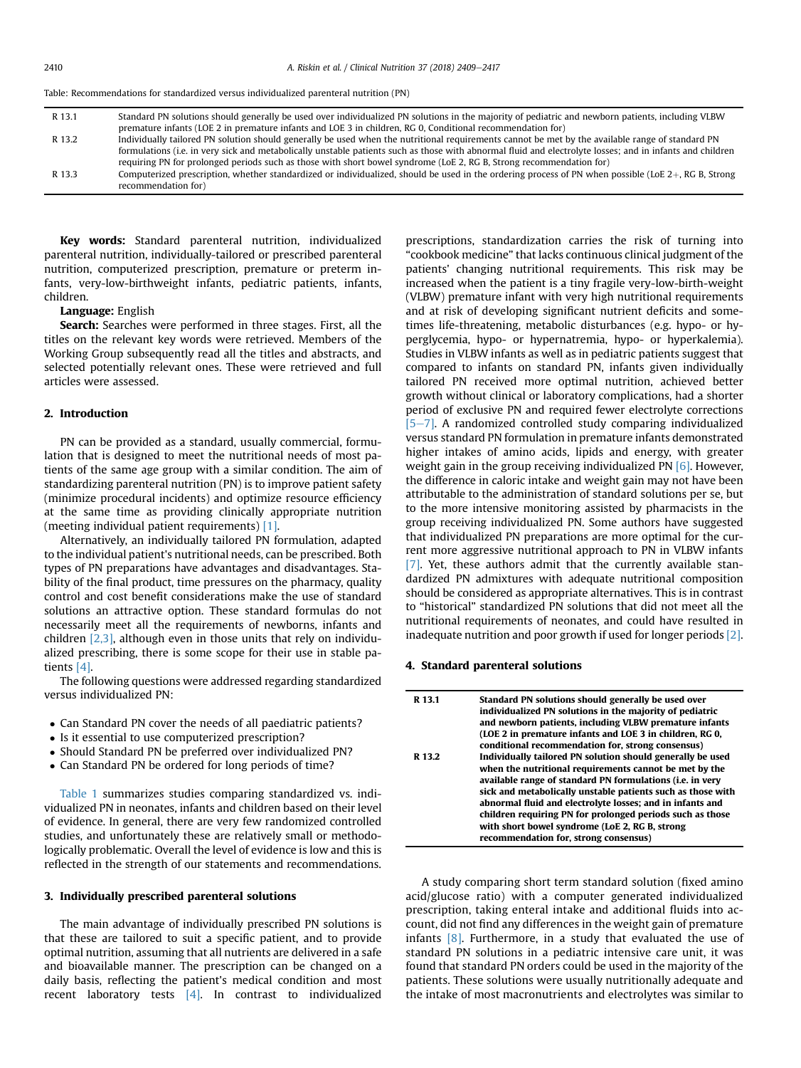Table: Recommendations for standardized versus individualized parenteral nutrition (PN)

| R 13.1 | Standard PN solutions should generally be used over individualized PN solutions in the majority of pediatric and newborn patients, including VLBW         |
|--------|-----------------------------------------------------------------------------------------------------------------------------------------------------------|
|        | premature infants (LOE 2 in premature infants and LOE 3 in children, RG 0, Conditional recommendation for)                                                |
| R 13.2 | Individually tailored PN solution should generally be used when the nutritional requirements cannot be met by the available range of standard PN          |
|        | formulations (i.e. in very sick and metabolically unstable patients such as those with abnormal fluid and electrolyte losses; and in infants and children |
|        | requiring PN for prolonged periods such as those with short bowel syndrome (LoE 2, RG B, Strong recommendation for)                                       |
| R 13.3 | Computerized prescription, whether standardized or individualized, should be used in the ordering process of PN when possible (LoE 2+, RG B, Strong       |
|        | recommendation for)                                                                                                                                       |

Key words: Standard parenteral nutrition, individualized parenteral nutrition, individually-tailored or prescribed parenteral nutrition, computerized prescription, premature or preterm infants, very-low-birthweight infants, pediatric patients, infants, children.

#### Language: English

Search: Searches were performed in three stages. First, all the titles on the relevant key words were retrieved. Members of the Working Group subsequently read all the titles and abstracts, and selected potentially relevant ones. These were retrieved and full articles were assessed.

## 2. Introduction

PN can be provided as a standard, usually commercial, formulation that is designed to meet the nutritional needs of most patients of the same age group with a similar condition. The aim of standardizing parenteral nutrition (PN) is to improve patient safety (minimize procedural incidents) and optimize resource efficiency at the same time as providing clinically appropriate nutrition (meeting individual patient requirements) [\[1\]](#page-7-0).

Alternatively, an individually tailored PN formulation, adapted to the individual patient's nutritional needs, can be prescribed. Both types of PN preparations have advantages and disadvantages. Stability of the final product, time pressures on the pharmacy, quality control and cost benefit considerations make the use of standard solutions an attractive option. These standard formulas do not necessarily meet all the requirements of newborns, infants and children [\[2,3\]](#page-7-0), although even in those units that rely on individualized prescribing, there is some scope for their use in stable patients [\[4\]](#page-7-0).

The following questions were addressed regarding standardized versus individualized PN:

- Can Standard PN cover the needs of all paediatric patients?
- Is it essential to use computerized prescription?
- Should Standard PN be preferred over individualized PN?
- Can Standard PN be ordered for long periods of time?

[Table 1](#page-2-0) summarizes studies comparing standardized vs. individualized PN in neonates, infants and children based on their level of evidence. In general, there are very few randomized controlled studies, and unfortunately these are relatively small or methodologically problematic. Overall the level of evidence is low and this is reflected in the strength of our statements and recommendations.

## 3. Individually prescribed parenteral solutions

The main advantage of individually prescribed PN solutions is that these are tailored to suit a specific patient, and to provide optimal nutrition, assuming that all nutrients are delivered in a safe and bioavailable manner. The prescription can be changed on a daily basis, reflecting the patient's medical condition and most recent laboratory tests [\[4\].](#page-7-0) In contrast to individualized prescriptions, standardization carries the risk of turning into "cookbook medicine" that lacks continuous clinical judgment of the patients' changing nutritional requirements. This risk may be increased when the patient is a tiny fragile very-low-birth-weight (VLBW) premature infant with very high nutritional requirements and at risk of developing significant nutrient deficits and sometimes life-threatening, metabolic disturbances (e.g. hypo- or hyperglycemia, hypo- or hypernatremia, hypo- or hyperkalemia). Studies in VLBW infants as well as in pediatric patients suggest that compared to infants on standard PN, infants given individually tailored PN received more optimal nutrition, achieved better growth without clinical or laboratory complications, had a shorter period of exclusive PN and required fewer electrolyte corrections  $[5-7]$  $[5-7]$  $[5-7]$ . A randomized controlled study comparing individualized versus standard PN formulation in premature infants demonstrated higher intakes of amino acids, lipids and energy, with greater weight gain in the group receiving individualized PN [\[6\]](#page-7-0). However, the difference in caloric intake and weight gain may not have been attributable to the administration of standard solutions per se, but to the more intensive monitoring assisted by pharmacists in the group receiving individualized PN. Some authors have suggested that individualized PN preparations are more optimal for the current more aggressive nutritional approach to PN in VLBW infants [\[7\]](#page-7-0). Yet, these authors admit that the currently available standardized PN admixtures with adequate nutritional composition should be considered as appropriate alternatives. This is in contrast to "historical" standardized PN solutions that did not meet all the nutritional requirements of neonates, and could have resulted in inadequate nutrition and poor growth if used for longer periods [\[2\].](#page-7-0)

## 4. Standard parenteral solutions

| R 13.1 | Standard PN solutions should generally be used over<br>individualized PN solutions in the majority of pediatric<br>and newborn patients, including VLBW premature infants<br>(LOE 2 in premature infants and LOE 3 in children, RG 0,<br>conditional recommendation for, strong consensus)                                                                                                                                                                            |
|--------|-----------------------------------------------------------------------------------------------------------------------------------------------------------------------------------------------------------------------------------------------------------------------------------------------------------------------------------------------------------------------------------------------------------------------------------------------------------------------|
| R 13.2 | Individually tailored PN solution should generally be used<br>when the nutritional requirements cannot be met by the<br>available range of standard PN formulations (i.e. in very<br>sick and metabolically unstable patients such as those with<br>abnormal fluid and electrolyte losses; and in infants and<br>children requiring PN for prolonged periods such as those<br>with short bowel syndrome (LoE 2, RG B, strong<br>recommendation for, strong consensus) |

A study comparing short term standard solution (fixed amino acid/glucose ratio) with a computer generated individualized prescription, taking enteral intake and additional fluids into account, did not find any differences in the weight gain of premature infants  $[8]$ . Furthermore, in a study that evaluated the use of standard PN solutions in a pediatric intensive care unit, it was found that standard PN orders could be used in the majority of the patients. These solutions were usually nutritionally adequate and the intake of most macronutrients and electrolytes was similar to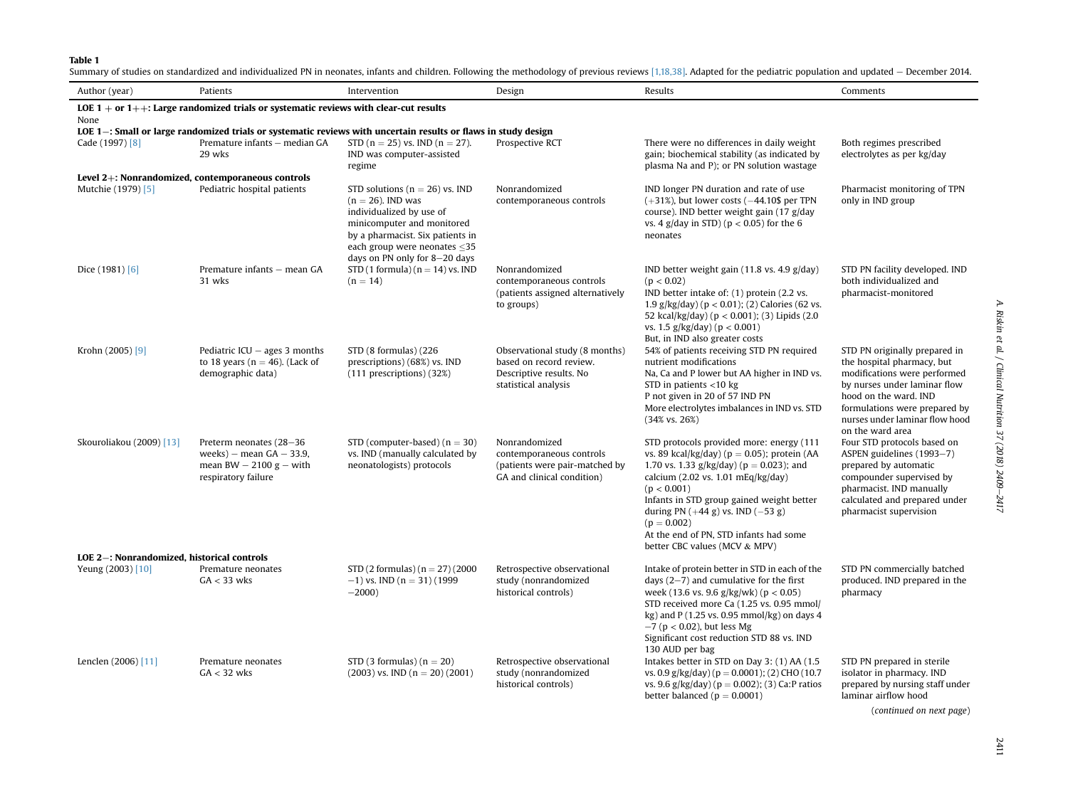#### <span id="page-2-0"></span>Table 1

Summary of studies on standardized and individualized PN in neonates, infants and children. Following the methodology of previous reviews [\[1,18,38\]](#page-7-0). Adapted for the pediatric population and updated – December 2014.

| Author (year)                                                   | Patients                                                                                                   | Intervention                                                                                                                                                                                                                      | Design                                                                                                       | Results                                                                                                                                                                                                                                                                                                                                                                                                               | Comments                                                                                                                                                                                                                                    |
|-----------------------------------------------------------------|------------------------------------------------------------------------------------------------------------|-----------------------------------------------------------------------------------------------------------------------------------------------------------------------------------------------------------------------------------|--------------------------------------------------------------------------------------------------------------|-----------------------------------------------------------------------------------------------------------------------------------------------------------------------------------------------------------------------------------------------------------------------------------------------------------------------------------------------------------------------------------------------------------------------|---------------------------------------------------------------------------------------------------------------------------------------------------------------------------------------------------------------------------------------------|
| None                                                            | LOE $1 +$ or $1++$ : Large randomized trials or systematic reviews with clear-cut results                  |                                                                                                                                                                                                                                   |                                                                                                              |                                                                                                                                                                                                                                                                                                                                                                                                                       |                                                                                                                                                                                                                                             |
|                                                                 |                                                                                                            | LOE 1 -: Small or large randomized trials or systematic reviews with uncertain results or flaws in study design                                                                                                                   |                                                                                                              |                                                                                                                                                                                                                                                                                                                                                                                                                       |                                                                                                                                                                                                                                             |
| Cade (1997) [8]                                                 | Premature infants - median GA<br>29 wks                                                                    | STD $(n = 25)$ vs. IND $(n = 27)$ .<br>IND was computer-assisted<br>regime                                                                                                                                                        | Prospective RCT                                                                                              | There were no differences in daily weight<br>gain; biochemical stability (as indicated by<br>plasma Na and P); or PN solution wastage                                                                                                                                                                                                                                                                                 | Both regimes prescribed<br>electrolytes as per kg/day                                                                                                                                                                                       |
|                                                                 | Level 2+: Nonrandomized, contemporaneous controls                                                          |                                                                                                                                                                                                                                   |                                                                                                              |                                                                                                                                                                                                                                                                                                                                                                                                                       |                                                                                                                                                                                                                                             |
| Mutchie (1979) [5]                                              | Pediatric hospital patients                                                                                | STD solutions ( $n = 26$ ) vs. IND<br>$(n = 26)$ . IND was<br>individualized by use of<br>minicomputer and monitored<br>by a pharmacist. Six patients in<br>each group were neonates $\leq$ 35<br>days on PN only for $8-20$ days | Nonrandomized<br>contemporaneous controls                                                                    | IND longer PN duration and rate of use<br>$(+31%)$ , but lower costs $(-44.10\$ per TPN<br>course). IND better weight gain (17 g/day<br>vs. 4 $g$ /day in STD) ( $p < 0.05$ ) for the 6<br>neonates                                                                                                                                                                                                                   | Pharmacist monitoring of TPN<br>only in IND group                                                                                                                                                                                           |
| Dice (1981) [6]                                                 | Premature infants - mean GA<br>31 wks                                                                      | STD (1 formula) ( $n = 14$ ) vs. IND<br>$(n = 14)$                                                                                                                                                                                | Nonrandomized<br>contemporaneous controls<br>(patients assigned alternatively<br>to groups)                  | IND better weight gain $(11.8 \text{ vs. } 4.9 \text{ g/day})$<br>(p < 0.02)<br>IND better intake of: (1) protein (2.2 vs.<br>1.9 $g/kg/day$ ) ( $p < 0.01$ ); (2) Calories (62 vs.<br>52 kcal/kg/day) ( $p < 0.001$ ); (3) Lipids (2.0<br>vs. 1.5 $g/kg/day$ ( $p < 0.001$ )<br>But, in IND also greater costs                                                                                                       | STD PN facility developed. IND<br>both individualized and<br>pharmacist-monitored                                                                                                                                                           |
| Krohn (2005) [9]                                                | Pediatric ICU $-$ ages 3 months<br>to 18 years ( $n = 46$ ). (Lack of<br>demographic data)                 | STD (8 formulas) (226<br>prescriptions) (68%) vs. IND<br>(111 prescriptions) (32%)                                                                                                                                                | Observational study (8 months)<br>based on record review.<br>Descriptive results. No<br>statistical analysis | 54% of patients receiving STD PN required<br>nutrient modifications<br>Na, Ca and P lower but AA higher in IND vs.<br>STD in patients $<$ 10 kg<br>P not given in 20 of 57 IND PN<br>More electrolytes imbalances in IND vs. STD<br>$(34\% \text{ vs. } 26\%)$                                                                                                                                                        | STD PN originally prepared in<br>the hospital pharmacy, but<br>modifications were performed<br>by nurses under laminar flow<br>hood on the ward. IND<br>formulations were prepared by<br>nurses under laminar flow hood<br>on the ward area |
| Skouroliakou (2009) [13]                                        | Preterm neonates (28-36<br>weeks) – mean $GA - 33.9$ ,<br>mean $BW - 2100 g - with$<br>respiratory failure | STD (computer-based) $(n = 30)$<br>vs. IND (manually calculated by<br>neonatologists) protocols                                                                                                                                   | Nonrandomized<br>contemporaneous controls<br>(patients were pair-matched by<br>GA and clinical condition)    | STD protocols provided more: energy (111<br>vs. 89 kcal/kg/day) ( $p = 0.05$ ); protein (AA<br>1.70 vs. 1.33 g/kg/day) ( $p = 0.023$ ); and<br>calcium $(2.02 \text{ vs. } 1.01 \text{ mEq/kg/day})$<br>(p < 0.001)<br>Infants in STD group gained weight better<br>during PN $(+44 \text{ g})$ vs. IND $(-53 \text{ g})$<br>$(p = 0.002)$<br>At the end of PN, STD infants had some<br>better CBC values (MCV & MPV) | Four STD protocols based on<br>ASPEN guidelines (1993-7)<br>prepared by automatic<br>compounder supervised by<br>pharmacist. IND manually<br>calculated and prepared under<br>pharmacist supervision                                        |
| LOE 2-: Nonrandomized, historical controls<br>Yeung (2003) [10] | Premature neonates<br>$GA < 33$ wks                                                                        | STD (2 formulas) ( $n = 27$ ) (2000<br>$-1$ ) vs. IND (n = 31) (1999<br>$-2000$                                                                                                                                                   | Retrospective observational<br>study (nonrandomized<br>historical controls)                                  | Intake of protein better in STD in each of the<br>days $(2-7)$ and cumulative for the first<br>week (13.6 vs. 9.6 g/kg/wk) ( $p < 0.05$ )<br>STD received more Ca (1.25 vs. 0.95 mmol/<br>$kg$ ) and P (1.25 vs. 0.95 mmol/kg) on days 4<br>$-7$ (p < 0.02), but less Mg<br>Significant cost reduction STD 88 vs. IND<br>130 AUD per bag                                                                              | STD PN commercially batched<br>produced. IND prepared in the<br>pharmacy                                                                                                                                                                    |
| Lenclen (2006) [11]                                             | Premature neonates<br>$GA < 32$ wks                                                                        | STD (3 formulas) $(n = 20)$<br>$(2003)$ vs. IND $(n = 20)$ $(2001)$                                                                                                                                                               | Retrospective observational<br>study (nonrandomized<br>historical controls)                                  | Intakes better in STD on Day 3: (1) AA (1.5<br>vs. 0.9 g/kg/day) ( $p = 0.0001$ ); (2) CHO (10.7<br>vs. 9.6 $g/kg/day$ (p = 0.002); (3) Ca:P ratios<br>better balanced ( $p = 0.0001$ )                                                                                                                                                                                                                               | STD PN prepared in sterile<br>isolator in pharmacy. IND<br>prepared by nursing staff under<br>laminar airflow hood                                                                                                                          |

(continued on next page)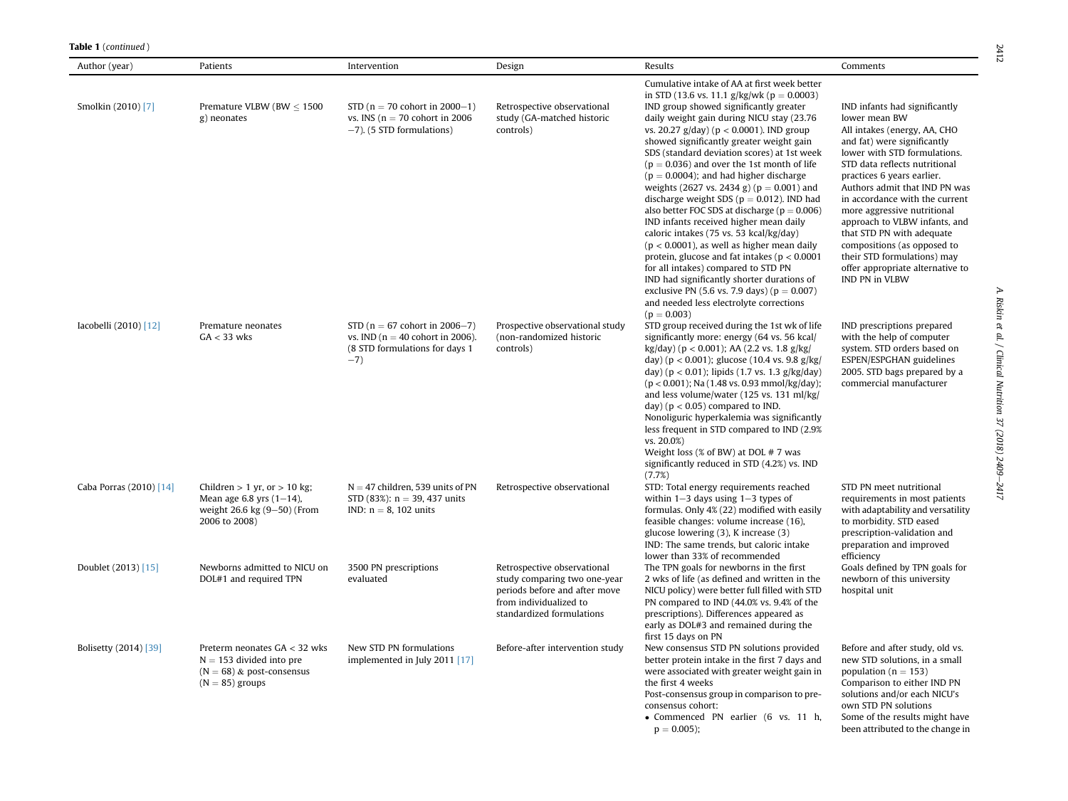**Table 1** (continued)

| Author (year)           | Patients                                                                                                            | Intervention                                                                                                       | Design                                                                                                                                              | Results                                                                                                                                                                                                                                                                                                                                                                                                                                                                                                                                                                                                                                                                                                                                                                                                                                                                                                                                                                               | Comments                                                                                                                                                                                                                                                                                                                                                                                                                                                                                         |
|-------------------------|---------------------------------------------------------------------------------------------------------------------|--------------------------------------------------------------------------------------------------------------------|-----------------------------------------------------------------------------------------------------------------------------------------------------|---------------------------------------------------------------------------------------------------------------------------------------------------------------------------------------------------------------------------------------------------------------------------------------------------------------------------------------------------------------------------------------------------------------------------------------------------------------------------------------------------------------------------------------------------------------------------------------------------------------------------------------------------------------------------------------------------------------------------------------------------------------------------------------------------------------------------------------------------------------------------------------------------------------------------------------------------------------------------------------|--------------------------------------------------------------------------------------------------------------------------------------------------------------------------------------------------------------------------------------------------------------------------------------------------------------------------------------------------------------------------------------------------------------------------------------------------------------------------------------------------|
| Smolkin (2010) [7]      | Premature VLBW (BW $\leq 1500$<br>g) neonates                                                                       | STD ( $n = 70$ cohort in 2000-1)<br>vs. INS ( $n = 70$ cohort in 2006)<br>$-7$ ). (5 STD formulations)             | Retrospective observational<br>study (GA-matched historic<br>controls)                                                                              | Cumulative intake of AA at first week better<br>in STD (13.6 vs. 11.1 g/kg/wk ( $p = 0.0003$ )<br>IND group showed significantly greater<br>daily weight gain during NICU stay (23.76<br>vs. 20.27 $g/day$ ) ( $p < 0.0001$ ). IND group<br>showed significantly greater weight gain<br>SDS (standard deviation scores) at 1st week<br>$(p = 0.036)$ and over the 1st month of life<br>$(p = 0.0004)$ ; and had higher discharge<br>weights (2627 vs. 2434 g) ( $p = 0.001$ ) and<br>discharge weight SDS ( $p = 0.012$ ). IND had<br>also better FOC SDS at discharge ( $p = 0.006$ )<br>IND infants received higher mean daily<br>caloric intakes (75 vs. 53 kcal/kg/day)<br>$(p < 0.0001)$ , as well as higher mean daily<br>protein, glucose and fat intakes ( $p < 0.0001$ )<br>for all intakes) compared to STD PN<br>IND had significantly shorter durations of<br>exclusive PN (5.6 vs. 7.9 days) ( $p = 0.007$ )<br>and needed less electrolyte corrections<br>$(p = 0.003)$ | IND infants had significantly<br>lower mean BW<br>All intakes (energy, AA, CHO<br>and fat) were significantly<br>lower with STD formulations.<br>STD data reflects nutritional<br>practices 6 years earlier.<br>Authors admit that IND PN was<br>in accordance with the current<br>more aggressive nutritional<br>approach to VLBW infants, and<br>that STD PN with adequate<br>compositions (as opposed to<br>their STD formulations) may<br>offer appropriate alternative to<br>IND PN in VLBW |
| Iacobelli (2010) [12]   | Premature neonates<br>$GA < 33$ wks                                                                                 | STD ( $n = 67$ cohort in 2006–7)<br>vs. IND ( $n = 40$ cohort in 2006).<br>(8 STD formulations for days 1<br>$-7)$ | Prospective observational study<br>(non-randomized historic<br>controls)                                                                            | STD group received during the 1st wk of life<br>significantly more: energy (64 vs. 56 kcal/<br>$\text{kg/day}$ ) (p < 0.001); AA (2.2 vs. 1.8 g/kg/<br>day) ( $p < 0.001$ ); glucose (10.4 vs. 9.8 g/kg/<br>day) ( $p < 0.01$ ); lipids (1.7 vs. 1.3 g/kg/day)<br>$(p < 0.001)$ ; Na (1.48 vs. 0.93 mmol/kg/day);<br>and less volume/water (125 vs. 131 ml/kg/<br>day) ( $p < 0.05$ ) compared to IND.<br>Nonoliguric hyperkalemia was significantly<br>less frequent in STD compared to IND (2.9%<br>vs. 20.0%)<br>Weight loss (% of BW) at DOL # 7 was<br>significantly reduced in STD (4.2%) vs. IND<br>(7.7%)                                                                                                                                                                                                                                                                                                                                                                     | IND prescriptions prepared<br>with the help of computer<br>system. STD orders based on<br>ESPEN/ESPGHAN guidelines<br>2005. STD bags prepared by a<br>commercial manufacturer                                                                                                                                                                                                                                                                                                                    |
| Caba Porras (2010) [14] | Children $> 1$ yr, or $> 10$ kg;<br>Mean age 6.8 yrs $(1-14)$ ,<br>weight $26.6$ kg $(9-50)$ (From<br>2006 to 2008) | $N = 47$ children, 539 units of PN<br>STD $(83\%)$ : n = 39, 437 units<br>IND: $n = 8$ , 102 units                 | Retrospective observational                                                                                                                         | STD: Total energy requirements reached<br>within $1-3$ days using $1-3$ types of<br>formulas. Only 4% (22) modified with easily<br>feasible changes: volume increase (16),<br>glucose lowering (3), K increase (3)<br>IND: The same trends, but caloric intake<br>lower than 33% of recommended                                                                                                                                                                                                                                                                                                                                                                                                                                                                                                                                                                                                                                                                                       | STD PN meet nutritional<br>requirements in most patients<br>with adaptability and versatility<br>to morbidity. STD eased<br>prescription-validation and<br>preparation and improved<br>efficiency                                                                                                                                                                                                                                                                                                |
| Doublet (2013) [15]     | Newborns admitted to NICU on<br>DOL#1 and required TPN                                                              | 3500 PN prescriptions<br>evaluated                                                                                 | Retrospective observational<br>study comparing two one-year<br>periods before and after move<br>from individualized to<br>standardized formulations | The TPN goals for newborns in the first<br>2 wks of life (as defined and written in the<br>NICU policy) were better full filled with STD<br>PN compared to IND (44.0% vs. 9.4% of the<br>prescriptions). Differences appeared as<br>early as DOL#3 and remained during the<br>first 15 days on PN                                                                                                                                                                                                                                                                                                                                                                                                                                                                                                                                                                                                                                                                                     | Goals defined by TPN goals for<br>newborn of this university<br>hospital unit                                                                                                                                                                                                                                                                                                                                                                                                                    |
| Bolisetty (2014) [39]   | Preterm neonates $GA < 32$ wks<br>$N = 153$ divided into pre<br>$(N = 68)$ & post-consensus<br>$(N = 85)$ groups    | New STD PN formulations<br>implemented in July 2011 [17]                                                           | Before-after intervention study                                                                                                                     | New consensus STD PN solutions provided<br>better protein intake in the first 7 days and<br>were associated with greater weight gain in<br>the first 4 weeks<br>Post-consensus group in comparison to pre-<br>consensus cohort:<br>· Commenced PN earlier (6 vs. 11 h,<br>$p = 0.005$ ;                                                                                                                                                                                                                                                                                                                                                                                                                                                                                                                                                                                                                                                                                               | Before and after study, old vs.<br>new STD solutions, in a small<br>population ( $n = 153$ )<br>Comparison to either IND PN<br>solutions and/or each NICU's<br>own STD PN solutions<br>Some of the results might have<br>been attributed to the change in                                                                                                                                                                                                                                        |

2412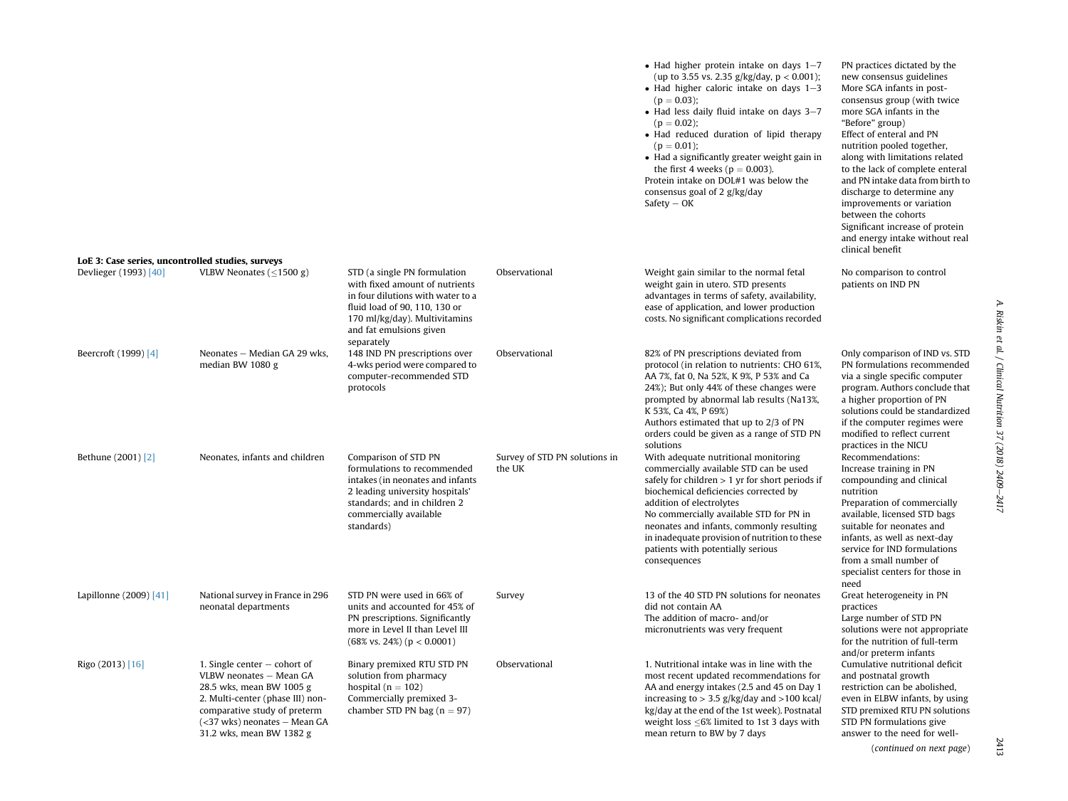|                                                                            |                                                                                                                                                                                                                          |                                                                                                                                                                                                                |                                         | (up to 3.55 vs. 2.35 g/kg/day, $p < 0.001$ );<br>• Had higher caloric intake on days $1-3$<br>$(p = 0.03);$<br>$\bullet$ Had less daily fluid intake on days 3-7<br>$(p = 0.02);$<br>• Had reduced duration of lipid therapy<br>$(p = 0.01);$<br>• Had a significantly greater weight gain in<br>the first 4 weeks ( $p = 0.003$ ).<br>Protein intake on DOL#1 was below the<br>consensus goal of 2 g/kg/day<br>$Safety - OK$ | new consensus guidelines<br>More SGA infants in post-<br>consensus group (with twice<br>more SGA infants in the<br>"Before" group)<br>Effect of enteral and PN<br>nutrition pooled together,<br>along with limitations related<br>to the lack of complete enteral<br>and PN intake data from birth to<br>discharge to determine any<br>improvements or variation<br>between the cohorts<br>Significant increase of protein<br>and energy intake without real<br>clinical benefit |
|----------------------------------------------------------------------------|--------------------------------------------------------------------------------------------------------------------------------------------------------------------------------------------------------------------------|----------------------------------------------------------------------------------------------------------------------------------------------------------------------------------------------------------------|-----------------------------------------|-------------------------------------------------------------------------------------------------------------------------------------------------------------------------------------------------------------------------------------------------------------------------------------------------------------------------------------------------------------------------------------------------------------------------------|----------------------------------------------------------------------------------------------------------------------------------------------------------------------------------------------------------------------------------------------------------------------------------------------------------------------------------------------------------------------------------------------------------------------------------------------------------------------------------|
| LoE 3: Case series, uncontrolled studies, surveys<br>Devlieger (1993) [40] | VLBW Neonates $(<1500 g)$                                                                                                                                                                                                | STD (a single PN formulation<br>with fixed amount of nutrients<br>in four dilutions with water to a<br>fluid load of 90, 110, 130 or<br>170 ml/kg/day). Multivitamins<br>and fat emulsions given<br>separately | Observational                           | Weight gain similar to the normal fetal<br>weight gain in utero. STD presents<br>advantages in terms of safety, availability,<br>ease of application, and lower production<br>costs. No significant complications recorded                                                                                                                                                                                                    | No comparison to control<br>patients on IND PN                                                                                                                                                                                                                                                                                                                                                                                                                                   |
| Beercroft (1999) [4]                                                       | Neonates – Median GA 29 wks,<br>median BW 1080 g                                                                                                                                                                         | 148 IND PN prescriptions over<br>4-wks period were compared to<br>computer-recommended STD<br>protocols                                                                                                        | Observational                           | 82% of PN prescriptions deviated from<br>protocol (in relation to nutrients: CHO 61%,<br>AA 7%, fat 0, Na 52%, K 9%, P 53% and Ca<br>24%); But only 44% of these changes were<br>prompted by abnormal lab results (Na13%,<br>K 53%, Ca 4%, P 69%)<br>Authors estimated that up to 2/3 of PN<br>orders could be given as a range of STD PN<br>solutions                                                                        | Only comparison of IND vs. STD<br>PN formulations recommended<br>via a single specific computer<br>program. Authors conclude that<br>a higher proportion of PN<br>solutions could be standardized<br>if the computer regimes were<br>modified to reflect current<br>practices in the NICU                                                                                                                                                                                        |
| Bethune (2001) [2]                                                         | Neonates, infants and children                                                                                                                                                                                           | Comparison of STD PN<br>formulations to recommended<br>intakes (in neonates and infants<br>2 leading university hospitals'<br>standards; and in children 2<br>commercially available<br>standards)             | Survey of STD PN solutions in<br>the UK | With adequate nutritional monitoring<br>commercially available STD can be used<br>safely for children $> 1$ yr for short periods if<br>biochemical deficiencies corrected by<br>addition of electrolytes<br>No commercially available STD for PN in<br>neonates and infants, commonly resulting<br>in inadequate provision of nutrition to these<br>patients with potentially serious<br>consequences                         | Recommendations:<br>Increase training in PN<br>compounding and clinical<br>nutrition<br>Preparation of commercially<br>available, licensed STD bags<br>suitable for neonates and<br>infants, as well as next-day<br>service for IND formulations<br>from a small number of<br>specialist centers for those in<br>need                                                                                                                                                            |
| Lapillonne (2009) [41]                                                     | National survey in France in 296<br>neonatal departments                                                                                                                                                                 | STD PN were used in 66% of<br>units and accounted for 45% of<br>PN prescriptions. Significantly<br>more in Level II than Level III<br>$(68\% \text{ vs. } 24\%) (p < 0.0001)$                                  | Survey                                  | 13 of the 40 STD PN solutions for neonates<br>did not contain AA<br>The addition of macro- and/or<br>micronutrients was very frequent                                                                                                                                                                                                                                                                                         | Great heterogeneity in PN<br>practices<br>Large number of STD PN<br>solutions were not appropriate<br>for the nutrition of full-term<br>and/or preterm infants                                                                                                                                                                                                                                                                                                                   |
| Rigo (2013) [16]                                                           | 1. Single center $-$ cohort of<br>VLBW neonates - Mean GA<br>28.5 wks, mean BW 1005 g<br>2. Multi-center (phase III) non-<br>comparative study of preterm<br>$(<$ 37 wks) neonates – Mean GA<br>31.2 wks, mean BW 1382 g | Binary premixed RTU STD PN<br>solution from pharmacy<br>hospital ( $n = 102$ )<br>Commercially premixed 3-<br>chamber STD PN bag $(n = 97)$                                                                    | Observational                           | 1. Nutritional intake was in line with the<br>most recent updated recommendations for<br>AA and energy intakes (2.5 and 45 on Day 1<br>increasing to $>$ 3.5 g/kg/day and $>$ 100 kcal/<br>kg/day at the end of the 1st week). Postnatal<br>weight loss $\leq$ 6% limited to 1st 3 days with<br>mean return to BW by 7 days                                                                                                   | Cumulative nutritional deficit<br>and postnatal growth<br>restriction can be abolished,<br>even in ELBW infants, by using<br>STD premixed RTU PN solutions<br>STD PN formulations give<br>answer to the need for well-<br>(continued on next page)                                                                                                                                                                                                                               |

• Had higher protein intake on days  $1-7$ 

PN practices dictated by the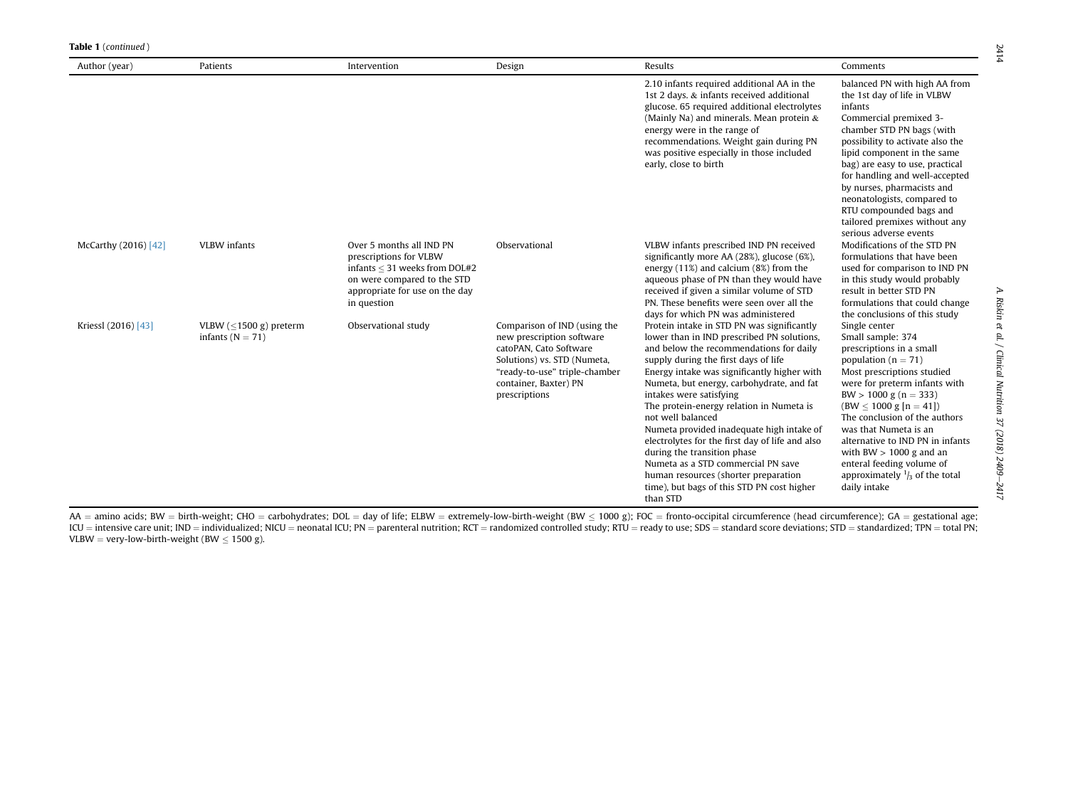|  | <b>Table 1</b> (continued) |
|--|----------------------------|
|--|----------------------------|

| Author (year)        | Patients                                              | Intervention                                                                                                                                                          | Design                                                                                                                                                                                        | Results                                                                                                                                                                                                                                                                                                                                                                                                                                                                                                                                                                                                                                    | Comments                                                                                                                                                                                                                                                                                                                                                                                                                           |
|----------------------|-------------------------------------------------------|-----------------------------------------------------------------------------------------------------------------------------------------------------------------------|-----------------------------------------------------------------------------------------------------------------------------------------------------------------------------------------------|--------------------------------------------------------------------------------------------------------------------------------------------------------------------------------------------------------------------------------------------------------------------------------------------------------------------------------------------------------------------------------------------------------------------------------------------------------------------------------------------------------------------------------------------------------------------------------------------------------------------------------------------|------------------------------------------------------------------------------------------------------------------------------------------------------------------------------------------------------------------------------------------------------------------------------------------------------------------------------------------------------------------------------------------------------------------------------------|
|                      |                                                       |                                                                                                                                                                       |                                                                                                                                                                                               | 2.10 infants required additional AA in the<br>1st 2 days, & infants received additional<br>glucose, 65 required additional electrolytes<br>(Mainly Na) and minerals. Mean protein $\&$<br>energy were in the range of<br>recommendations. Weight gain during PN<br>was positive especially in those included<br>early, close to birth                                                                                                                                                                                                                                                                                                      | balanced PN with high AA from<br>the 1st day of life in VLBW<br>infants<br>Commercial premixed 3-<br>chamber STD PN bags (with<br>possibility to activate also the<br>lipid component in the same<br>bag) are easy to use, practical<br>for handling and well-accepted<br>by nurses, pharmacists and<br>neonatologists, compared to<br>RTU compounded bags and<br>tailored premixes without any<br>serious adverse events          |
| McCarthy (2016) [42] | <b>VLBW</b> infants                                   | Over 5 months all IND PN<br>prescriptions for VLBW<br>infants $<$ 31 weeks from DOL#2<br>on were compared to the STD<br>appropriate for use on the day<br>in question | Observational                                                                                                                                                                                 | VLBW infants prescribed IND PN received<br>significantly more AA (28%), glucose (6%),<br>energy $(11\%)$ and calcium $(8\%)$ from the<br>aqueous phase of PN than they would have<br>received if given a similar volume of STD<br>PN. These benefits were seen over all the<br>days for which PN was administered                                                                                                                                                                                                                                                                                                                          | Modifications of the STD PN<br>formulations that have been<br>used for comparison to IND PN<br>in this study would probably<br>result in better STD PN<br>formulations that could change<br>the conclusions of this study                                                                                                                                                                                                          |
| Kriessl (2016) [43]  | VLBW ( $\leq$ 1500 g) preterm<br>infants ( $N = 71$ ) | Observational study                                                                                                                                                   | Comparison of IND (using the<br>new prescription software<br>catoPAN, Cato Software<br>Solutions) vs. STD (Numeta,<br>"ready-to-use" triple-chamber<br>container, Baxter) PN<br>prescriptions | Protein intake in STD PN was significantly<br>lower than in IND prescribed PN solutions,<br>and below the recommendations for daily<br>supply during the first days of life<br>Energy intake was significantly higher with<br>Numeta, but energy, carbohydrate, and fat<br>intakes were satisfying<br>The protein-energy relation in Numeta is<br>not well balanced<br>Numeta provided inadequate high intake of<br>electrolytes for the first day of life and also<br>during the transition phase<br>Numeta as a STD commercial PN save<br>human resources (shorter preparation<br>time), but bags of this STD PN cost higher<br>than STD | Single center<br>Small sample: 374<br>prescriptions in a small<br>population ( $n = 71$ )<br>Most prescriptions studied<br>were for preterm infants with<br>$BW > 1000 g (n = 333)$<br>$(BW < 1000 g[n = 41])$<br>The conclusion of the authors<br>was that Numeta is an<br>alternative to IND PN in infants<br>with $BW > 1000$ g and an<br>enteral feeding volume of<br>approximately $\frac{1}{3}$ of the total<br>daily intake |

AA = amino acids; BW = birth-weight; CHO = carbohydrates; DOL = day of life; ELBW = extremely-low-birth-weight (BW ≤ 1000 g); FOC = fronto-occipital circumference (head circumference); GA = gestational age;<br>ICU = intensiv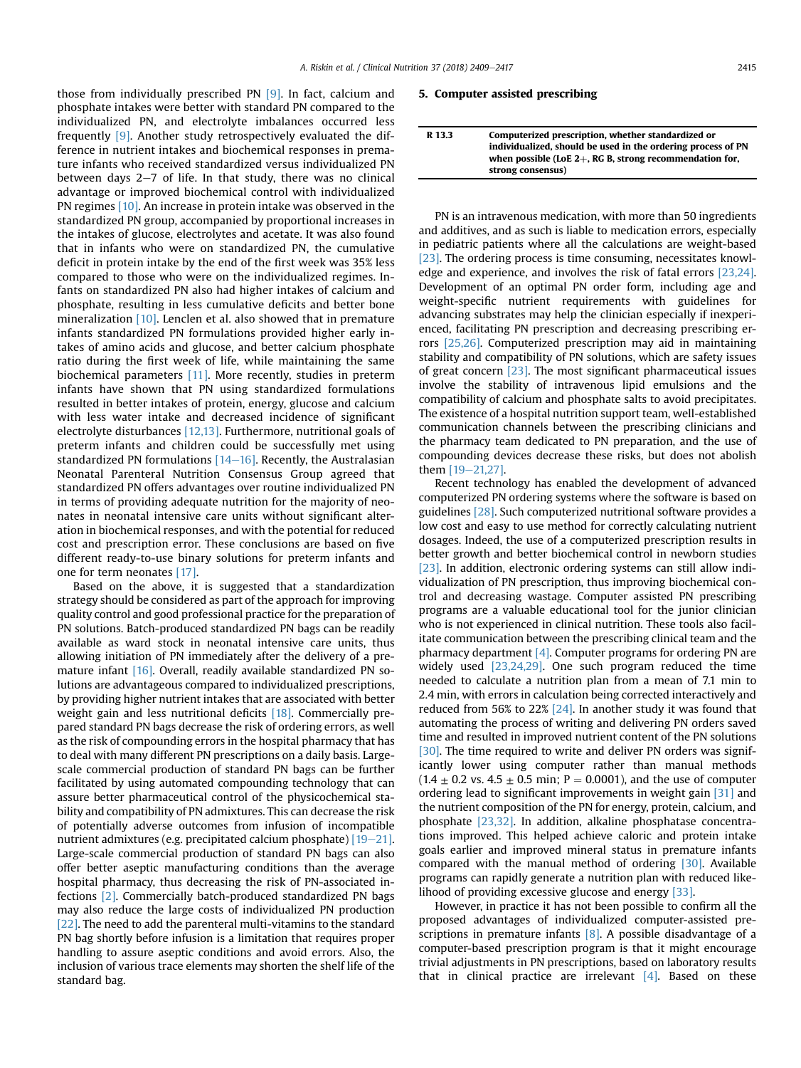those from individually prescribed PN [\[9\].](#page-7-0) In fact, calcium and phosphate intakes were better with standard PN compared to the individualized PN, and electrolyte imbalances occurred less frequently [\[9\].](#page-7-0) Another study retrospectively evaluated the difference in nutrient intakes and biochemical responses in premature infants who received standardized versus individualized PN between days  $2-7$  of life. In that study, there was no clinical advantage or improved biochemical control with individualized PN regimes [\[10\].](#page-7-0) An increase in protein intake was observed in the standardized PN group, accompanied by proportional increases in the intakes of glucose, electrolytes and acetate. It was also found that in infants who were on standardized PN, the cumulative deficit in protein intake by the end of the first week was 35% less compared to those who were on the individualized regimes. Infants on standardized PN also had higher intakes of calcium and phosphate, resulting in less cumulative deficits and better bone mineralization [\[10\].](#page-7-0) Lenclen et al. also showed that in premature infants standardized PN formulations provided higher early intakes of amino acids and glucose, and better calcium phosphate ratio during the first week of life, while maintaining the same biochemical parameters [\[11\].](#page-7-0) More recently, studies in preterm infants have shown that PN using standardized formulations resulted in better intakes of protein, energy, glucose and calcium with less water intake and decreased incidence of significant electrolyte disturbances [\[12,13\].](#page-7-0) Furthermore, nutritional goals of preterm infants and children could be successfully met using standardized PN formulations  $[14-16]$  $[14-16]$  $[14-16]$ . Recently, the Australasian Neonatal Parenteral Nutrition Consensus Group agreed that standardized PN offers advantages over routine individualized PN in terms of providing adequate nutrition for the majority of neonates in neonatal intensive care units without significant alteration in biochemical responses, and with the potential for reduced cost and prescription error. These conclusions are based on five different ready-to-use binary solutions for preterm infants and one for term neonates [\[17\].](#page-7-0)

Based on the above, it is suggested that a standardization strategy should be considered as part of the approach for improving quality control and good professional practice for the preparation of PN solutions. Batch-produced standardized PN bags can be readily available as ward stock in neonatal intensive care units, thus allowing initiation of PN immediately after the delivery of a premature infant [\[16\]](#page-7-0). Overall, readily available standardized PN solutions are advantageous compared to individualized prescriptions, by providing higher nutrient intakes that are associated with better weight gain and less nutritional deficits [\[18\].](#page-7-0) Commercially prepared standard PN bags decrease the risk of ordering errors, as well as the risk of compounding errors in the hospital pharmacy that has to deal with many different PN prescriptions on a daily basis. Largescale commercial production of standard PN bags can be further facilitated by using automated compounding technology that can assure better pharmaceutical control of the physicochemical stability and compatibility of PN admixtures. This can decrease the risk of potentially adverse outcomes from infusion of incompatible nutrient admixtures (e.g. precipitated calcium phosphate)  $[19-21]$  $[19-21]$ . Large-scale commercial production of standard PN bags can also offer better aseptic manufacturing conditions than the average hospital pharmacy, thus decreasing the risk of PN-associated infections [\[2\]](#page-7-0). Commercially batch-produced standardized PN bags may also reduce the large costs of individualized PN production [\[22\].](#page-7-0) The need to add the parenteral multi-vitamins to the standard PN bag shortly before infusion is a limitation that requires proper handling to assure aseptic conditions and avoid errors. Also, the inclusion of various trace elements may shorten the shelf life of the standard bag.

## 5. Computer assisted prescribing

| R 13.3 | Computerized prescription, whether standardized or           |
|--------|--------------------------------------------------------------|
|        | individualized, should be used in the ordering process of PN |
|        | when possible (LoE $2+$ , RG B, strong recommendation for,   |
|        | strong consensus)                                            |

PN is an intravenous medication, with more than 50 ingredients and additives, and as such is liable to medication errors, especially in pediatric patients where all the calculations are weight-based [\[23\].](#page-7-0) The ordering process is time consuming, necessitates knowledge and experience, and involves the risk of fatal errors [\[23,24\].](#page-7-0) Development of an optimal PN order form, including age and weight-specific nutrient requirements with guidelines for advancing substrates may help the clinician especially if inexperienced, facilitating PN prescription and decreasing prescribing errors [\[25,26\]](#page-7-0). Computerized prescription may aid in maintaining stability and compatibility of PN solutions, which are safety issues of great concern [\[23\].](#page-7-0) The most significant pharmaceutical issues involve the stability of intravenous lipid emulsions and the compatibility of calcium and phosphate salts to avoid precipitates. The existence of a hospital nutrition support team, well-established communication channels between the prescribing clinicians and the pharmacy team dedicated to PN preparation, and the use of compounding devices decrease these risks, but does not abolish them  $[19-21,27]$  $[19-21,27]$ .

Recent technology has enabled the development of advanced computerized PN ordering systems where the software is based on guidelines [\[28\].](#page-7-0) Such computerized nutritional software provides a low cost and easy to use method for correctly calculating nutrient dosages. Indeed, the use of a computerized prescription results in better growth and better biochemical control in newborn studies [\[23\].](#page-7-0) In addition, electronic ordering systems can still allow individualization of PN prescription, thus improving biochemical control and decreasing wastage. Computer assisted PN prescribing programs are a valuable educational tool for the junior clinician who is not experienced in clinical nutrition. These tools also facilitate communication between the prescribing clinical team and the pharmacy department  $[4]$ . Computer programs for ordering PN are widely used [\[23,24,29\]](#page-7-0). One such program reduced the time needed to calculate a nutrition plan from a mean of 7.1 min to 2.4 min, with errors in calculation being corrected interactively and reduced from 56% to 22% [\[24\].](#page-7-0) In another study it was found that automating the process of writing and delivering PN orders saved time and resulted in improved nutrient content of the PN solutions [\[30\].](#page-7-0) The time required to write and deliver PN orders was significantly lower using computer rather than manual methods  $(1.4 \pm 0.2 \text{ vs. } 4.5 \pm 0.5 \text{ min}; P = 0.0001)$ , and the use of computer ordering lead to significant improvements in weight gain [\[31\]](#page-7-0) and the nutrient composition of the PN for energy, protein, calcium, and phosphate [\[23,32\].](#page-7-0) In addition, alkaline phosphatase concentrations improved. This helped achieve caloric and protein intake goals earlier and improved mineral status in premature infants compared with the manual method of ordering [\[30\]](#page-7-0). Available programs can rapidly generate a nutrition plan with reduced likelihood of providing excessive glucose and energy [\[33\]](#page-8-0).

However, in practice it has not been possible to confirm all the proposed advantages of individualized computer-assisted prescriptions in premature infants  $[8]$ . A possible disadvantage of a computer-based prescription program is that it might encourage trivial adjustments in PN prescriptions, based on laboratory results that in clinical practice are irrelevant  $[4]$ . Based on these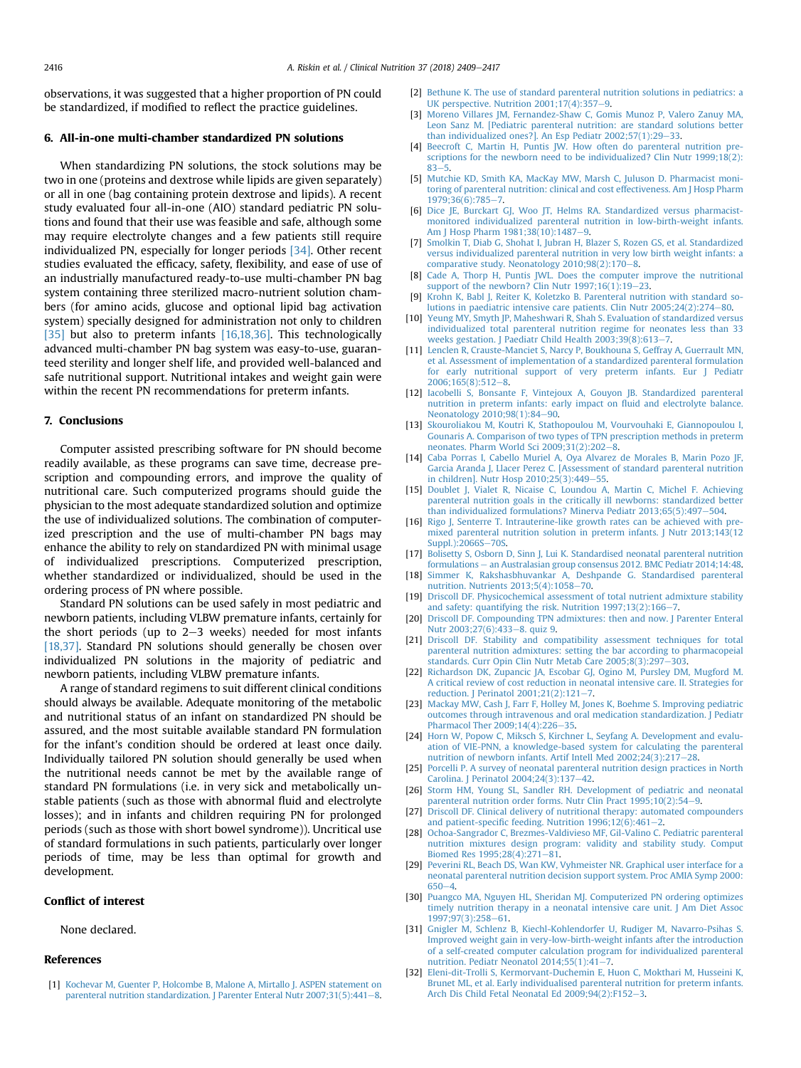<span id="page-7-0"></span>observations, it was suggested that a higher proportion of PN could be standardized, if modified to reflect the practice guidelines.

#### 6. All-in-one multi-chamber standardized PN solutions

When standardizing PN solutions, the stock solutions may be two in one (proteins and dextrose while lipids are given separately) or all in one (bag containing protein dextrose and lipids). A recent study evaluated four all-in-one (AIO) standard pediatric PN solutions and found that their use was feasible and safe, although some may require electrolyte changes and a few patients still require individualized PN, especially for longer periods [\[34\]](#page-8-0). Other recent studies evaluated the efficacy, safety, flexibility, and ease of use of an industrially manufactured ready-to-use multi-chamber PN bag system containing three sterilized macro-nutrient solution chambers (for amino acids, glucose and optional lipid bag activation system) specially designed for administration not only to children [\[35\]](#page-8-0) but also to preterm infants [16,18,36]. This technologically advanced multi-chamber PN bag system was easy-to-use, guaranteed sterility and longer shelf life, and provided well-balanced and safe nutritional support. Nutritional intakes and weight gain were within the recent PN recommendations for preterm infants.

## 7. Conclusions

Computer assisted prescribing software for PN should become readily available, as these programs can save time, decrease prescription and compounding errors, and improve the quality of nutritional care. Such computerized programs should guide the physician to the most adequate standardized solution and optimize the use of individualized solutions. The combination of computerized prescription and the use of multi-chamber PN bags may enhance the ability to rely on standardized PN with minimal usage of individualized prescriptions. Computerized prescription, whether standardized or individualized, should be used in the ordering process of PN where possible.

Standard PN solutions can be used safely in most pediatric and newborn patients, including VLBW premature infants, certainly for the short periods (up to  $2-3$  weeks) needed for most infants [18,37]. Standard PN solutions should generally be chosen over individualized PN solutions in the majority of pediatric and newborn patients, including VLBW premature infants.

A range of standard regimens to suit different clinical conditions should always be available. Adequate monitoring of the metabolic and nutritional status of an infant on standardized PN should be assured, and the most suitable available standard PN formulation for the infant's condition should be ordered at least once daily. Individually tailored PN solution should generally be used when the nutritional needs cannot be met by the available range of standard PN formulations (i.e. in very sick and metabolically unstable patients (such as those with abnormal fluid and electrolyte losses); and in infants and children requiring PN for prolonged periods (such as those with short bowel syndrome)). Uncritical use of standard formulations in such patients, particularly over longer periods of time, may be less than optimal for growth and development.

## Conflict of interest

None declared.

## References

[1] [Kochevar M, Guenter P, Holcombe B, Malone A, Mirtallo J. ASPEN statement on](http://refhub.elsevier.com/S0261-5614(18)31174-9/sref1) [parenteral nutrition standardization. J Parenter Enteral Nutr 2007;31\(5\):441](http://refhub.elsevier.com/S0261-5614(18)31174-9/sref1)-[8](http://refhub.elsevier.com/S0261-5614(18)31174-9/sref1).

- [2] [Bethune K. The use of standard parenteral nutrition solutions in pediatrics: a](http://refhub.elsevier.com/S0261-5614(18)31174-9/sref2) UK perspective. Nutrition  $2001; 17(4):357-9$ .
- [3] [Moreno Villares JM, Fernandez-Shaw C, Gomis Munoz P, Valero Zanuy MA,](http://refhub.elsevier.com/S0261-5614(18)31174-9/sref3) [Leon Sanz M. \[Pediatric parenteral nutrition: are standard solutions better](http://refhub.elsevier.com/S0261-5614(18)31174-9/sref3) than individualized ones?]. An Esp Pediatr  $2002;57(1):29-33$ .
- [4] [Beecroft C, Martin H, Puntis JW. How often do parenteral nutrition pre](http://refhub.elsevier.com/S0261-5614(18)31174-9/sref4)[scriptions for the newborn need to be individualized? Clin Nutr 1999;18\(2\):](http://refhub.elsevier.com/S0261-5614(18)31174-9/sref4)  $83 - 5$  $83 - 5$  $83 - 5$
- [5] [Mutchie KD, Smith KA, MacKay MW, Marsh C, Juluson D. Pharmacist moni](http://refhub.elsevier.com/S0261-5614(18)31174-9/sref5)[toring of parenteral nutrition: clinical and cost effectiveness. Am J Hosp Pharm](http://refhub.elsevier.com/S0261-5614(18)31174-9/sref5) 1979:36(6):785-[7.](http://refhub.elsevier.com/S0261-5614(18)31174-9/sref5)
- [6] [Dice JE, Burckart GJ, Woo JT, Helms RA. Standardized versus pharmacist](http://refhub.elsevier.com/S0261-5614(18)31174-9/sref6)[monitored individualized parenteral nutrition in low-birth-weight infants.](http://refhub.elsevier.com/S0261-5614(18)31174-9/sref6) Am I Hosp Pharm  $1981:38(10):1487-9$  $1981:38(10):1487-9$  $1981:38(10):1487-9$
- [7] [Smolkin T, Diab G, Shohat I, Jubran H, Blazer S, Rozen GS, et al. Standardized](http://refhub.elsevier.com/S0261-5614(18)31174-9/sref7) [versus individualized parenteral nutrition in very low birth weight infants: a](http://refhub.elsevier.com/S0261-5614(18)31174-9/sref7) comparative study. Neonatology  $2010;98(2):170-8$ .
- [8] [Cade A, Thorp H, Puntis JWL. Does the computer improve the nutritional](http://refhub.elsevier.com/S0261-5614(18)31174-9/sref8) support of the newborn? Clin Nutr  $1997;16(1):19-23$ .
- [9] [Krohn K, Babl J, Reiter K, Koletzko B. Parenteral nutrition with standard so](http://refhub.elsevier.com/S0261-5614(18)31174-9/sref9)lutions in paediatric intensive care patients. Clin Nutr  $2005;24(2):274-80$  $2005;24(2):274-80$ .
- [10] [Yeung MY, Smyth JP, Maheshwari R, Shah S. Evaluation of standardized versus](http://refhub.elsevier.com/S0261-5614(18)31174-9/sref10) [individualized total parenteral nutrition regime for neonates less than 33](http://refhub.elsevier.com/S0261-5614(18)31174-9/sref10) [weeks gestation. J Paediatr Child Health 2003;39\(8\):613](http://refhub.elsevier.com/S0261-5614(18)31174-9/sref10)-[7.](http://refhub.elsevier.com/S0261-5614(18)31174-9/sref10)
- [11] [Lenclen R, Crauste-Manciet S, Narcy P, Boukhouna S, Geffray A, Guerrault MN,](http://refhub.elsevier.com/S0261-5614(18)31174-9/sref11) [et al. Assessment of implementation of a standardized parenteral formulation](http://refhub.elsevier.com/S0261-5614(18)31174-9/sref11) [for early nutritional support of very preterm infants. Eur J Pediatr](http://refhub.elsevier.com/S0261-5614(18)31174-9/sref11)  $2006:165(8):512-8$  $2006:165(8):512-8$  $2006:165(8):512-8$
- [12] [Iacobelli S, Bonsante F, Vintejoux A, Gouyon JB. Standardized parenteral](http://refhub.elsevier.com/S0261-5614(18)31174-9/sref12) [nutrition in preterm infants: early impact on](http://refhub.elsevier.com/S0261-5614(18)31174-9/sref12) fluid and electrolyte balance. [Neonatology 2010;98\(1\):84](http://refhub.elsevier.com/S0261-5614(18)31174-9/sref12)-[90.](http://refhub.elsevier.com/S0261-5614(18)31174-9/sref12)
- [13] [Skouroliakou M, Koutri K, Stathopoulou M, Vourvouhaki E, Giannopoulou I,](http://refhub.elsevier.com/S0261-5614(18)31174-9/sref13) [Gounaris A. Comparison of two types of TPN prescription methods in preterm](http://refhub.elsevier.com/S0261-5614(18)31174-9/sref13) [neonates. Pharm World Sci 2009;31\(2\):202](http://refhub.elsevier.com/S0261-5614(18)31174-9/sref13)-[8](http://refhub.elsevier.com/S0261-5614(18)31174-9/sref13).
- [14] [Caba Porras I, Cabello Muriel A, Oya Alvarez de Morales B, Marin Pozo JF,](http://refhub.elsevier.com/S0261-5614(18)31174-9/sref14) [Garcia Aranda J, Llacer Perez C. \[Assessment of standard parenteral nutrition](http://refhub.elsevier.com/S0261-5614(18)31174-9/sref14) [in children\]. Nutr Hosp 2010;25\(3\):449](http://refhub.elsevier.com/S0261-5614(18)31174-9/sref14)-[55](http://refhub.elsevier.com/S0261-5614(18)31174-9/sref14).
- [15] [Doublet J, Vialet R, Nicaise C, Loundou A, Martin C, Michel F. Achieving](http://refhub.elsevier.com/S0261-5614(18)31174-9/sref15) [parenteral nutrition goals in the critically ill newborns: standardized better](http://refhub.elsevier.com/S0261-5614(18)31174-9/sref15) [than individualized formulations? Minerva Pediatr 2013;65\(5\):497](http://refhub.elsevier.com/S0261-5614(18)31174-9/sref15)-[504.](http://refhub.elsevier.com/S0261-5614(18)31174-9/sref15)
- [16] [Rigo J, Senterre T. Intrauterine-like growth rates can be achieved with pre](http://refhub.elsevier.com/S0261-5614(18)31174-9/sref16)[mixed parenteral nutrition solution in preterm infants. J Nutr 2013;143\(12](http://refhub.elsevier.com/S0261-5614(18)31174-9/sref16) [Suppl.\):2066S](http://refhub.elsevier.com/S0261-5614(18)31174-9/sref16)-[70S](http://refhub.elsevier.com/S0261-5614(18)31174-9/sref16).
- [17] [Bolisetty S, Osborn D, Sinn J, Lui K. Standardised neonatal parenteral nutrition](http://refhub.elsevier.com/S0261-5614(18)31174-9/sref17) [formulations](http://refhub.elsevier.com/S0261-5614(18)31174-9/sref17) - [an Australasian group consensus 2012. BMC Pediatr 2014;14:48](http://refhub.elsevier.com/S0261-5614(18)31174-9/sref17).
- [18] [Simmer K, Rakshasbhuvankar A, Deshpande G. Standardised parenteral](http://refhub.elsevier.com/S0261-5614(18)31174-9/sref18) [nutrition. Nutrients 2013;5\(4\):1058](http://refhub.elsevier.com/S0261-5614(18)31174-9/sref18)-[70.](http://refhub.elsevier.com/S0261-5614(18)31174-9/sref18)
- [19] [Driscoll DF. Physicochemical assessment of total nutrient admixture stability](http://refhub.elsevier.com/S0261-5614(18)31174-9/sref19) and safety: quantifying the risk. Nutrition  $1997;13(2):166-7$  $1997;13(2):166-7$  $1997;13(2):166-7$
- [20] [Driscoll DF. Compounding TPN admixtures: then and now. J Parenter Enteral](http://refhub.elsevier.com/S0261-5614(18)31174-9/sref20) [Nutr 2003;27\(6\):433](http://refhub.elsevier.com/S0261-5614(18)31174-9/sref20)-[8. quiz 9](http://refhub.elsevier.com/S0261-5614(18)31174-9/sref20).
- [21] [Driscoll DF. Stability and compatibility assessment techniques for total](http://refhub.elsevier.com/S0261-5614(18)31174-9/sref21) [parenteral nutrition admixtures: setting the bar according to pharmacopeial](http://refhub.elsevier.com/S0261-5614(18)31174-9/sref21) [standards. Curr Opin Clin Nutr Metab Care 2005;8\(3\):297](http://refhub.elsevier.com/S0261-5614(18)31174-9/sref21)-[303.](http://refhub.elsevier.com/S0261-5614(18)31174-9/sref21)
- [22] [Richardson DK, Zupancic JA, Escobar GJ, Ogino M, Pursley DM, Mugford M.](http://refhub.elsevier.com/S0261-5614(18)31174-9/sref22) [A critical review of cost reduction in neonatal intensive care. II. Strategies for](http://refhub.elsevier.com/S0261-5614(18)31174-9/sref22) [reduction. J Perinatol 2001;21\(2\):121](http://refhub.elsevier.com/S0261-5614(18)31174-9/sref22)-[7.](http://refhub.elsevier.com/S0261-5614(18)31174-9/sref22)
- [23] [Mackay MW, Cash J, Farr F, Holley M, Jones K, Boehme S. Improving pediatric](http://refhub.elsevier.com/S0261-5614(18)31174-9/sref23) [outcomes through intravenous and oral medication standardization. J Pediatr](http://refhub.elsevier.com/S0261-5614(18)31174-9/sref23)  $Pharmacol Ther 2009:14(4):226-35.$  $Pharmacol Ther 2009:14(4):226-35.$  $Pharmacol Ther 2009:14(4):226-35.$
- [24] [Horn W, Popow C, Miksch S, Kirchner L, Seyfang A. Development and evalu](http://refhub.elsevier.com/S0261-5614(18)31174-9/sref24)[ation of VIE-PNN, a knowledge-based system for calculating the parenteral](http://refhub.elsevier.com/S0261-5614(18)31174-9/sref24) nutrition of newborn infants. Artif Intell Med  $2002;24(3):217-28$ .
- [25] [Porcelli P. A survey of neonatal parenteral nutrition design practices in North](http://refhub.elsevier.com/S0261-5614(18)31174-9/sref25) [Carolina. J Perinatol 2004;24\(3\):137](http://refhub.elsevier.com/S0261-5614(18)31174-9/sref25)-[42](http://refhub.elsevier.com/S0261-5614(18)31174-9/sref25).
- [26] [Storm HM, Young SL, Sandler RH. Development of pediatric and neonatal](http://refhub.elsevier.com/S0261-5614(18)31174-9/sref26) [parenteral nutrition order forms. Nutr Clin Pract 1995;10\(2\):54](http://refhub.elsevier.com/S0261-5614(18)31174-9/sref26)-[9.](http://refhub.elsevier.com/S0261-5614(18)31174-9/sref26)
- [27] [Driscoll DF. Clinical delivery of nutritional therapy: automated compounders](http://refhub.elsevier.com/S0261-5614(18)31174-9/sref27) and patient-specific feeding. Nutrition  $1996;12(6):461-2$ .
- [28] [Ochoa-Sangrador C, Brezmes-Valdivieso MF, Gil-Valino C. Pediatric parenteral](http://refhub.elsevier.com/S0261-5614(18)31174-9/sref28) [nutrition mixtures design program: validity and stability study. Comput](http://refhub.elsevier.com/S0261-5614(18)31174-9/sref28) Biomed Res  $1995:28(4):271-81$ .
- [29] [Peverini RL, Beach DS, Wan KW, Vyhmeister NR. Graphical user interface for a](http://refhub.elsevier.com/S0261-5614(18)31174-9/sref29) [neonatal parenteral nutrition decision support system. Proc AMIA Symp 2000:](http://refhub.elsevier.com/S0261-5614(18)31174-9/sref29)  $650 - 4.$  $650 - 4.$  $650 - 4.$  $650 - 4.$
- [30] [Puangco MA, Nguyen HL, Sheridan MJ. Computerized PN ordering optimizes](http://refhub.elsevier.com/S0261-5614(18)31174-9/sref30) [timely nutrition therapy in a neonatal intensive care unit. J Am Diet Assoc](http://refhub.elsevier.com/S0261-5614(18)31174-9/sref30) [1997;97\(3\):258](http://refhub.elsevier.com/S0261-5614(18)31174-9/sref30)-[61](http://refhub.elsevier.com/S0261-5614(18)31174-9/sref30).
- [31] [Gnigler M, Schlenz B, Kiechl-Kohlendorfer U, Rudiger M, Navarro-Psihas S.](http://refhub.elsevier.com/S0261-5614(18)31174-9/sref31) [Improved weight gain in very-low-birth-weight infants after the introduction](http://refhub.elsevier.com/S0261-5614(18)31174-9/sref31) [of a self-created computer calculation program for individualized parenteral](http://refhub.elsevier.com/S0261-5614(18)31174-9/sref31) nutrition. Pediatr Neonatol  $2014;55(1):41-7$ .
- [32] [Eleni-dit-Trolli S, Kermorvant-Duchemin E, Huon C, Mokthari M, Husseini K,](http://refhub.elsevier.com/S0261-5614(18)31174-9/sref32) [Brunet ML, et al. Early individualised parenteral nutrition for preterm infants.](http://refhub.elsevier.com/S0261-5614(18)31174-9/sref32) [Arch Dis Child Fetal Neonatal Ed 2009;94\(2\):F152](http://refhub.elsevier.com/S0261-5614(18)31174-9/sref32)-[3.](http://refhub.elsevier.com/S0261-5614(18)31174-9/sref32)